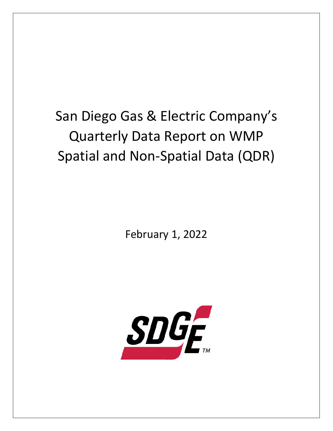## San Diego Gas & Electric Company's Quarterly Data Report on WMP Spatial and Non-Spatial Data (QDR)

February 1, 2022

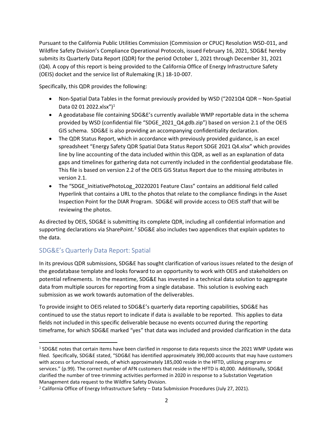Pursuant to the California Public Utilities Commission (Commission or CPUC) Resolution WSD-011, and Wildfire Safety Division's Compliance Operational Protocols, issued February 16, 2021, SDG&E hereby submits its Quarterly Data Report (QDR) for the period October 1, 2021 through December 31, 2021 (Q4). A copy of this report is being provided to the California Office of Energy Infrastructure Safety (OEIS) docket and the service list of Rulemaking (R.) 18-10-007.

Specifically, this QDR provides the following:

- Non-Spatial Data Tables in the format previously provided by WSD ("2021Q4 QDR Non-Spatial Data 02 01 2022.xlsx")<sup>1</sup>
- A geodatabase file containing SDG&E's currently available WMP reportable data in the schema provided by WSD (confidential file "SDGE\_2021\_Q4.gdb.zip") based on version 2.1 of the OEIS GIS schema. SDG&E is also providing an accompanying confidentiality declaration.
- The QDR Status Report, which in accordance with previously provided guidance, is an excel spreadsheet "Energy Safety QDR Spatial Data Status Report SDGE 2021 Q4.xlsx" which provides line by line accounting of the data included within this QDR, as well as an explanation of data gaps and timelines for gathering data not currently included in the confidential geodatabase file. This file is based on version 2.2 of the OEIS GIS Status Report due to the missing attributes in version 2.1.
- The "SDGE InitiativePhotoLog 20220201 Feature Class" contains an additional field called Hyperlink that contains a URL to the photos that relate to the compliance findings in the Asset Inspection Point for the DIAR Program. SDG&E will provide access to OEIS staff that will be reviewing the photos.

As directed by OEIS, SDG&E is submitting its complete QDR, including all confidential information and supporting declarations via SharePoint.<sup>2</sup> SDG&E also includes two appendices that explain updates to the data.

## SDG&E's Quarterly Data Report: Spatial

In its previous QDR submissions, SDG&E has sought clarification of various issues related to the design of the geodatabase template and looks forward to an opportunity to work with OEIS and stakeholders on potential refinements. In the meantime, SDG&E has invested in a technical data solution to aggregate data from multiple sources for reporting from a single database. This solution is evolving each submission as we work towards automation of the deliverables.

To provide insight to OEIS related to SDG&E's quarterly data reporting capabilities, SDG&E has continued to use the status report to indicate if data is available to be reported. This applies to data fields not included in this specific deliverable because no events occurred during the reporting timeframe, for which SDG&E marked "yes" that data was included and provided clarification in the data

<sup>&</sup>lt;sup>1</sup> SDG&E notes that certain items have been clarified in response to data requests since the 2021 WMP Update was filed. Specifically, SDG&E stated, "SDG&E has identified approximately 390,000 accounts that may have customers with access or functional needs, of which approximately 185,000 reside in the HFTD, utilizing programs or services." (p.99). The correct number of AFN customers that reside in the HFTD is 40,000. Additionally, SDG&E clarified the number of tree-trimming activities performed in 2020 in response to a Substation Vegetation Management data request to the Wildfire Safety Division.

<sup>2</sup> California Office of Energy Infrastructure Safety – Data Submission Procedures (July 27, 2021).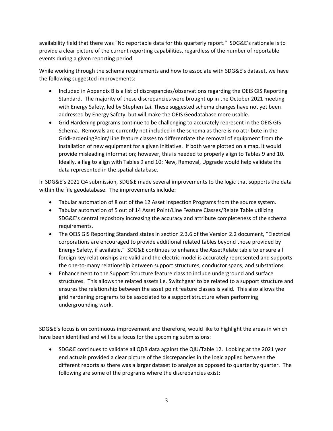availability field that there was "No reportable data for this quarterly report." SDG&E's rationale is to provide a clear picture of the current reporting capabilities, regardless of the number of reportable events during a given reporting period.

While working through the schema requirements and how to associate with SDG&E's dataset, we have the following suggested improvements:

- Included in Appendix B is a list of discrepancies/observations regarding the OEIS GIS Reporting Standard. The majority of these discrepancies were brought up in the October 2021 meeting with Energy Safety, led by Stephen Lai. These suggested schema changes have not yet been addressed by Energy Safety, but will make the OEIS Geodatabase more usable.
- Grid Hardening programs continue to be challenging to accurately represent in the OEIS GIS Schema. Removals are currently not included in the schema as there is no attribute in the GridHardeningPoint/Line feature classes to differentiate the removal of equipment from the installation of new equipment for a given initiative. If both were plotted on a map, it would provide misleading information; however, this is needed to properly align to Tables 9 and 10. Ideally, a flag to align with Tables 9 and 10: New, Removal, Upgrade would help validate the data represented in the spatial database.

In SDG&E's 2021 Q4 submission, SDG&E made several improvements to the logic that supports the data within the file geodatabase. The improvements include:

- Tabular automation of 8 out of the 12 Asset Inspection Programs from the source system.
- Tabular automation of 5 out of 14 Asset Point/Line Feature Classes/Relate Table utilizing SDG&E's central repository increasing the accuracy and attribute completeness of the schema requirements.
- The OEIS GIS Reporting Standard states in section 2.3.6 of the Version 2.2 document, "Electrical corporations are encouraged to provide additional related tables beyond those provided by Energy Safety, if available." SDG&E continues to enhance the AssetRelate table to ensure all foreign key relationships are valid and the electric model is accurately represented and supports the one-to-many relationship between support structures, conductor spans, and substations.
- Enhancement to the Support Structure feature class to include underground and surface structures. This allows the related assets i.e. Switchgear to be related to a support structure and ensures the relationship between the asset point feature classes is valid. This also allows the grid hardening programs to be associated to a support structure when performing undergrounding work.

SDG&E's focus is on continuous improvement and therefore, would like to highlight the areas in which have been identified and will be a focus for the upcoming submissions:

• SDG&E continues to validate all QDR data against the QIU/Table 12. Looking at the 2021 year end actuals provided a clear picture of the discrepancies in the logic applied between the different reports as there was a larger dataset to analyze as opposed to quarter by quarter. The following are some of the programs where the discrepancies exist: